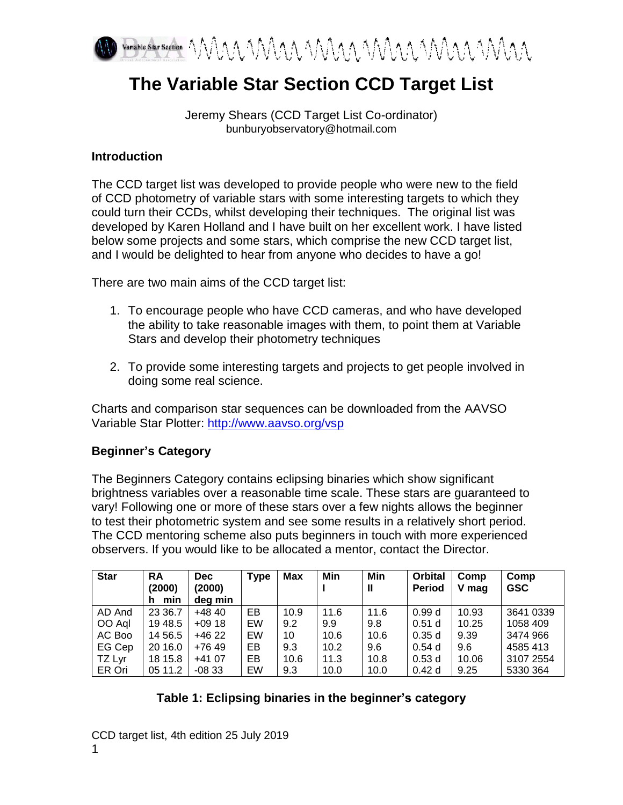

# **The Variable Star Section CCD Target List**

Jeremy Shears (CCD Target List Co-ordinator) bunburyobservatory@hotmail.com

#### **Introduction**

The CCD target list was developed to provide people who were new to the field of CCD photometry of variable stars with some interesting targets to which they could turn their CCDs, whilst developing their techniques. The original list was developed by Karen Holland and I have built on her excellent work. I have listed below some projects and some stars, which comprise the new CCD target list, and I would be delighted to hear from anyone who decides to have a go!

There are two main aims of the CCD target list:

- 1. To encourage people who have CCD cameras, and who have developed the ability to take reasonable images with them, to point them at Variable Stars and develop their photometry techniques
- 2. To provide some interesting targets and projects to get people involved in doing some real science.

Charts and comparison star sequences can be downloaded from the AAVSO Variable Star Plotter:<http://www.aavso.org/vsp>

## **Beginner's Category**

The Beginners Category contains eclipsing binaries which show significant brightness variables over a reasonable time scale. These stars are guaranteed to vary! Following one or more of these stars over a few nights allows the beginner to test their photometric system and see some results in a relatively short period. The CCD mentoring scheme also puts beginners in touch with more experienced observers. If you would like to be allocated a mentor, contact the Director.

| <b>Star</b> | <b>RA</b><br>(2000)<br>min<br>h | <b>Dec</b><br>(2000)<br>dea min | <b>Type</b> | <b>Max</b> | Min  | Min<br>Ш | <b>Orbital</b><br><b>Period</b> | Comp<br>V mag | Comp<br><b>GSC</b> |
|-------------|---------------------------------|---------------------------------|-------------|------------|------|----------|---------------------------------|---------------|--------------------|
| AD And      | 23 36.7                         | $+4840$                         | EВ          | 10.9       | 11.6 | 11.6     | 0.99d                           | 10.93         | 3641 0339          |
| OO Aql      | 19 48.5                         | $+09.18$                        | EW          | 9.2        | 9.9  | 9.8      | 0.51 <sub>d</sub>               | 10.25         | 1058 409           |
| AC Boo      | 14 56.5                         | +46 22                          | EW          | 10         | 10.6 | 10.6     | 0.35d                           | 9.39          | 3474 966           |
| EG Cep      | 20 16.0                         | $+76.49$                        | EB          | 9.3        | 10.2 | 9.6      | 0.54d                           | 9.6           | 4585413            |
| TZ Lyr      | 18 15.8                         | $+4107$                         | EB          | 10.6       | 11.3 | 10.8     | 0.53d                           | 10.06         | 3107 2554          |
| ER Ori      | 05 11.2                         | $-0833$                         | EW          | 9.3        | 10.0 | 10.0     | 0.42d                           | 9.25          | 5330 364           |

## **Table 1: Eclipsing binaries in the beginner's category**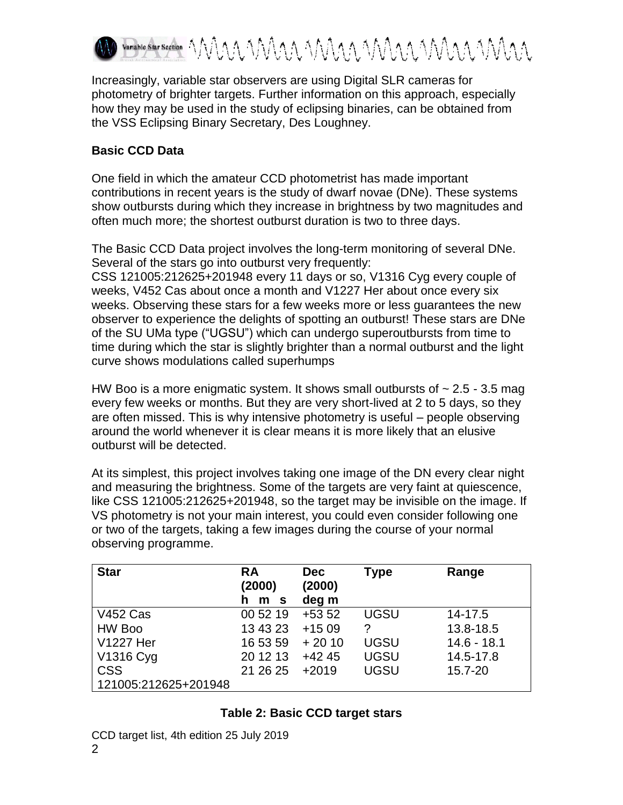

Increasingly, variable star observers are using Digital SLR cameras for photometry of brighter targets. Further information on this approach, especially how they may be used in the study of eclipsing binaries, can be obtained from the VSS Eclipsing Binary Secretary, Des Loughney.

## **Basic CCD Data**

One field in which the amateur CCD photometrist has made important contributions in recent years is the study of dwarf novae (DNe). These systems show outbursts during which they increase in brightness by two magnitudes and often much more; the shortest outburst duration is two to three days.

The Basic CCD Data project involves the long-term monitoring of several DNe. Several of the stars go into outburst very frequently:

CSS 121005:212625+201948 every 11 days or so, V1316 Cyg every couple of weeks, V452 Cas about once a month and V1227 Her about once every six weeks. Observing these stars for a few weeks more or less guarantees the new observer to experience the delights of spotting an outburst! These stars are DNe of the SU UMa type ("UGSU") which can undergo superoutbursts from time to time during which the star is slightly brighter than a normal outburst and the light curve shows modulations called superhumps

HW Boo is a more enigmatic system. It shows small outbursts of  $\sim$  2.5 - 3.5 mag every few weeks or months. But they are very short-lived at 2 to 5 days, so they are often missed. This is why intensive photometry is useful – people observing around the world whenever it is clear means it is more likely that an elusive outburst will be detected.

At its simplest, this project involves taking one image of the DN every clear night and measuring the brightness. Some of the targets are very faint at quiescence, like CSS 121005:212625+201948, so the target may be invisible on the image. If VS photometry is not your main interest, you could even consider following one or two of the targets, taking a few images during the course of your normal observing programme.

| <b>Star</b>          | <b>RA</b><br>(2000)<br>m <sub>s</sub> | <b>Dec</b><br>(2000)<br>deg m | Type        | Range         |
|----------------------|---------------------------------------|-------------------------------|-------------|---------------|
| <b>V452 Cas</b>      | 00 52 19                              | $+5352$                       | <b>UGSU</b> | 14-17.5       |
| HW Boo               | 13 43 23                              | $+1509$                       |             | 13.8-18.5     |
| <b>V1227 Her</b>     | 16 53 59                              | $+2010$                       | <b>UGSU</b> | $14.6 - 18.1$ |
| V1316 Cyg            | 20 12 13                              | $+4245$                       | <b>UGSU</b> | 14.5-17.8     |
| <b>CSS</b>           | 21 26 25                              | $+2019$                       | <b>UGSU</b> | 15.7-20       |
| 121005:212625+201948 |                                       |                               |             |               |

## **Table 2: Basic CCD target stars**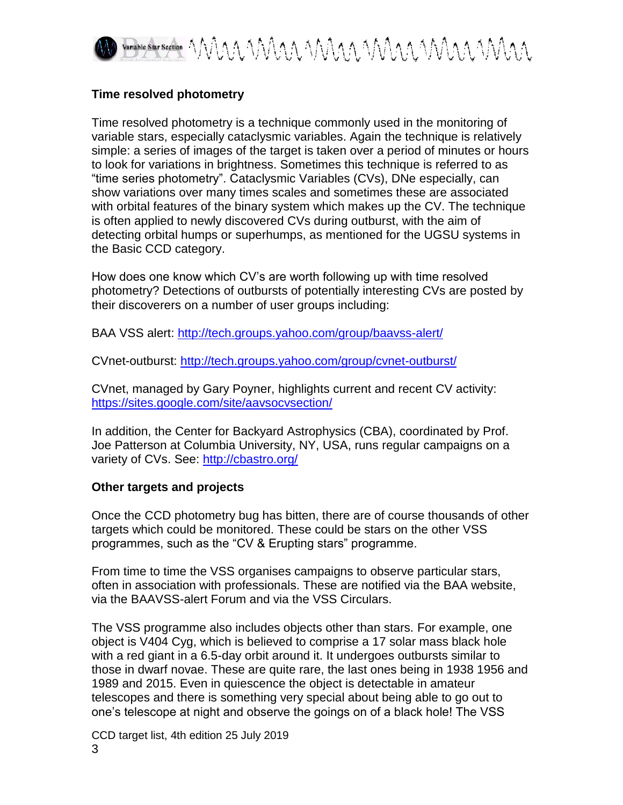

## **Time resolved photometry**

Time resolved photometry is a technique commonly used in the monitoring of variable stars, especially cataclysmic variables. Again the technique is relatively simple: a series of images of the target is taken over a period of minutes or hours to look for variations in brightness. Sometimes this technique is referred to as "time series photometry". Cataclysmic Variables (CVs), DNe especially, can show variations over many times scales and sometimes these are associated with orbital features of the binary system which makes up the CV. The technique is often applied to newly discovered CVs during outburst, with the aim of detecting orbital humps or superhumps, as mentioned for the UGSU systems in the Basic CCD category.

How does one know which CV's are worth following up with time resolved photometry? Detections of outbursts of potentially interesting CVs are posted by their discoverers on a number of user groups including:

BAA VSS alert:<http://tech.groups.yahoo.com/group/baavss-alert/>

CVnet-outburst:<http://tech.groups.yahoo.com/group/cvnet-outburst/>

CVnet, managed by Gary Poyner, highlights current and recent CV activity: <https://sites.google.com/site/aavsocvsection/>

In addition, the Center for Backyard Astrophysics (CBA), coordinated by Prof. Joe Patterson at Columbia University, NY, USA, runs regular campaigns on a variety of CVs. See:<http://cbastro.org/>

## **Other targets and projects**

Once the CCD photometry bug has bitten, there are of course thousands of other targets which could be monitored. These could be stars on the other VSS programmes, such as the "CV & Erupting stars" programme.

From time to time the VSS organises campaigns to observe particular stars, often in association with professionals. These are notified via the BAA website, via the BAAVSS-alert Forum and via the VSS Circulars.

The VSS programme also includes objects other than stars. For example, one object is V404 Cyg, which is believed to comprise a 17 solar mass black hole with a red giant in a 6.5-day orbit around it. It undergoes outbursts similar to those in dwarf novae. These are quite rare, the last ones being in 1938 1956 and 1989 and 2015. Even in quiescence the object is detectable in amateur telescopes and there is something very special about being able to go out to one's telescope at night and observe the goings on of a black hole! The VSS